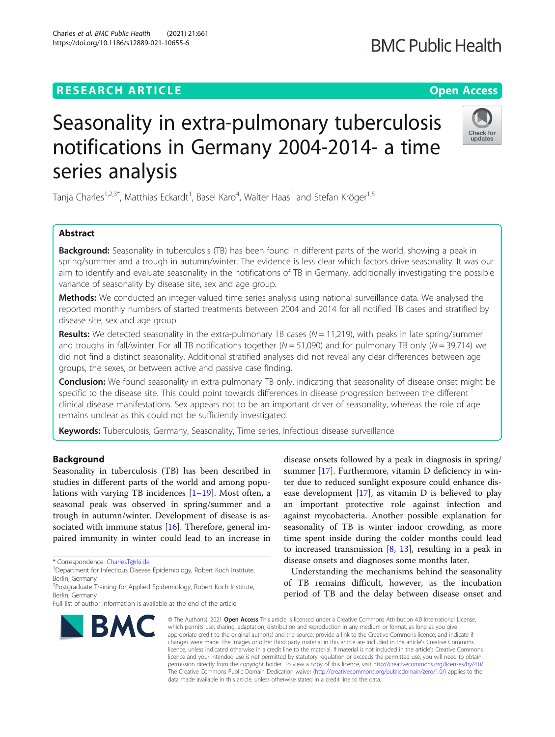## **RESEARCH ARTICLE Example 2014 12:30 The Contract of Contract ACCESS**

# Seasonality in extra-pulmonary tuberculosis notifications in Germany 2004-2014- a time series analysis

Tanja Charles<sup>1,2,3\*</sup>, Matthias Eckardt<sup>1</sup>, Basel Karo<sup>4</sup>, Walter Haas<sup>1</sup> and Stefan Kröger<sup>1,5</sup>

## Abstract

Background: Seasonality in tuberculosis (TB) has been found in different parts of the world, showing a peak in spring/summer and a trough in autumn/winter. The evidence is less clear which factors drive seasonality. It was our aim to identify and evaluate seasonality in the notifications of TB in Germany, additionally investigating the possible variance of seasonality by disease site, sex and age group.

Methods: We conducted an integer-valued time series analysis using national surveillance data. We analysed the reported monthly numbers of started treatments between 2004 and 2014 for all notified TB cases and stratified by disease site, sex and age group.

**Results:** We detected seasonality in the extra-pulmonary TB cases ( $N = 11,219$ ), with peaks in late spring/summer and troughs in fall/winter. For all TB notifications together ( $N = 51,090$ ) and for pulmonary TB only ( $N = 39,714$ ) we did not find a distinct seasonality. Additional stratified analyses did not reveal any clear differences between age groups, the sexes, or between active and passive case finding.

Conclusion: We found seasonality in extra-pulmonary TB only, indicating that seasonality of disease onset might be specific to the disease site. This could point towards differences in disease progression between the different clinical disease manifestations. Sex appears not to be an important driver of seasonality, whereas the role of age remains unclear as this could not be sufficiently investigated.

Keywords: Tuberculosis, Germany, Seasonality, Time series, Infectious disease surveillance

## Background

Seasonality in tuberculosis (TB) has been described in studies in different parts of the world and among populations with varying TB incidences  $[1–19]$  $[1–19]$  $[1–19]$  $[1–19]$ . Most often, a seasonal peak was observed in spring/summer and a trough in autumn/winter. Development of disease is associated with immune status  $[16]$  $[16]$ . Therefore, general impaired immunity in winter could lead to an increase in

Full list of author information is available at the end of the article





Check for undates

disease onsets followed by a peak in diagnosis in spring/ summer [[17\]](#page-7-0). Furthermore, vitamin D deficiency in winter due to reduced sunlight exposure could enhance disease development [\[17](#page-7-0)], as vitamin D is believed to play an important protective role against infection and against mycobacteria. Another possible explanation for seasonality of TB is winter indoor crowding, as more time spent inside during the colder months could lead to increased transmission  $[8, 13]$  $[8, 13]$  $[8, 13]$ , resulting in a peak in disease onsets and diagnoses some months later.

Understanding the mechanisms behind the seasonality of TB remains difficult, however, as the incubation period of TB and the delay between disease onset and

© The Author(s), 2021 **Open Access** This article is licensed under a Creative Commons Attribution 4.0 International License, which permits use, sharing, adaptation, distribution and reproduction in any medium or format, as long as you give appropriate credit to the original author(s) and the source, provide a link to the Creative Commons licence, and indicate if changes were made. The images or other third party material in this article are included in the article's Creative Commons licence, unless indicated otherwise in a credit line to the material. If material is not included in the article's Creative Commons licence and your intended use is not permitted by statutory regulation or exceeds the permitted use, you will need to obtain permission directly from the copyright holder. To view a copy of this licence, visit [http://creativecommons.org/licenses/by/4.0/.](http://creativecommons.org/licenses/by/4.0/) The Creative Commons Public Domain Dedication waiver [\(http://creativecommons.org/publicdomain/zero/1.0/](http://creativecommons.org/publicdomain/zero/1.0/)) applies to the data made available in this article, unless otherwise stated in a credit line to the data.





<sup>\*</sup> Correspondence: [CharlesT@rki.de](mailto:CharlesT@rki.de) <sup>1</sup>

<sup>&</sup>lt;sup>1</sup> Department for Infectious Disease Epidemiology, Robert Koch Institute, Berlin, Germany

<sup>&</sup>lt;sup>2</sup>Postgraduate Training for Applied Epidemiology, Robert Koch Institute, Berlin, Germany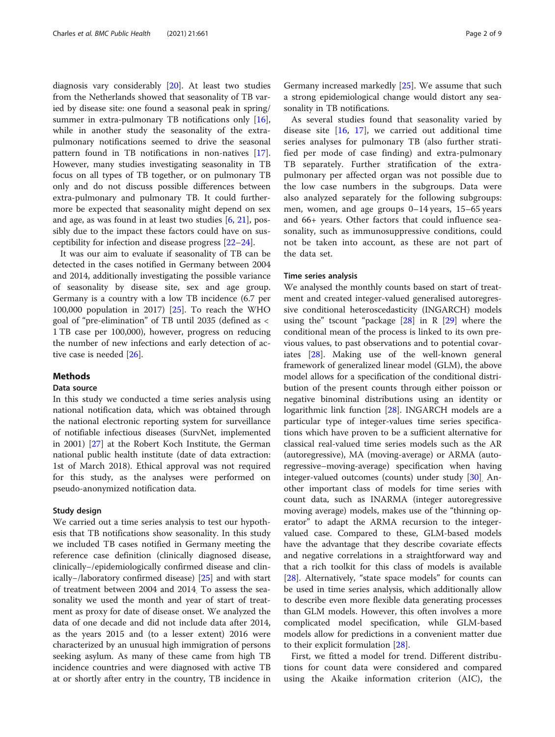diagnosis vary considerably [[20\]](#page-7-0). At least two studies from the Netherlands showed that seasonality of TB varied by disease site: one found a seasonal peak in spring/ summer in extra-pulmonary TB notifications only  $[16]$  $[16]$ , while in another study the seasonality of the extrapulmonary notifications seemed to drive the seasonal pattern found in TB notifications in non-natives [\[17](#page-7-0)]. However, many studies investigating seasonality in TB focus on all types of TB together, or on pulmonary TB only and do not discuss possible differences between extra-pulmonary and pulmonary TB. It could furthermore be expected that seasonality might depend on sex and age, as was found in at least two studies  $[6, 21]$  $[6, 21]$  $[6, 21]$  $[6, 21]$ , possibly due to the impact these factors could have on susceptibility for infection and disease progress [\[22](#page-7-0)–[24\]](#page-7-0).

It was our aim to evaluate if seasonality of TB can be detected in the cases notified in Germany between 2004 and 2014, additionally investigating the possible variance of seasonality by disease site, sex and age group. Germany is a country with a low TB incidence (6.7 per 100,000 population in 2017) [[25\]](#page-7-0). To reach the WHO goal of "pre-elimination" of TB until 2035 (defined as < 1 TB case per 100,000), however, progress on reducing the number of new infections and early detection of active case is needed [[26](#page-7-0)].

## Methods

## Data source

In this study we conducted a time series analysis using national notification data, which was obtained through the national electronic reporting system for surveillance of notifiable infectious diseases (SurvNet, implemented in 2001) [\[27](#page-7-0)] at the Robert Koch Institute, the German national public health institute (date of data extraction: 1st of March 2018). Ethical approval was not required for this study, as the analyses were performed on pseudo-anonymized notification data.

### Study design

We carried out a time series analysis to test our hypothesis that TB notifications show seasonality. In this study we included TB cases notified in Germany meeting the reference case definition (clinically diagnosed disease, clinically−/epidemiologically confirmed disease and clinically−/laboratory confirmed disease) [[25\]](#page-7-0) and with start of treatment between 2004 and 2014. To assess the seasonality we used the month and year of start of treatment as proxy for date of disease onset. We analyzed the data of one decade and did not include data after 2014, as the years 2015 and (to a lesser extent) 2016 were characterized by an unusual high immigration of persons seeking asylum. As many of these came from high TB incidence countries and were diagnosed with active TB at or shortly after entry in the country, TB incidence in

Germany increased markedly [\[25](#page-7-0)]. We assume that such a strong epidemiological change would distort any seasonality in TB notifications.

As several studies found that seasonality varied by disease site [[16,](#page-7-0) [17\]](#page-7-0), we carried out additional time series analyses for pulmonary TB (also further stratified per mode of case finding) and extra-pulmonary TB separately. Further stratification of the extrapulmonary per affected organ was not possible due to the low case numbers in the subgroups. Data were also analyzed separately for the following subgroups: men, women, and age groups 0–14 years, 15–65 years and 66+ years. Other factors that could influence seasonality, such as immunosuppressive conditions, could not be taken into account, as these are not part of the data set.

#### Time series analysis

We analysed the monthly counts based on start of treatment and created integer-valued generalised autoregressive conditional heteroscedasticity (INGARCH) models using the" tscount "package  $[28]$  $[28]$  $[28]$  in R  $[29]$  $[29]$  where the conditional mean of the process is linked to its own previous values, to past observations and to potential covariates [[28\]](#page-7-0). Making use of the well-known general framework of generalized linear model (GLM), the above model allows for a specification of the conditional distribution of the present counts through either poisson or negative binominal distributions using an identity or logarithmic link function [\[28\]](#page-7-0). INGARCH models are a particular type of integer-values time series specifications which have proven to be a sufficient alternative for classical real-valued time series models such as the AR (autoregressive), MA (moving-average) or ARMA (autoregressive–moving-average) specification when having integer-valued outcomes (counts) under study [\[30](#page-7-0)]. Another important class of models for time series with count data, such as INARMA (integer autoregressive moving average) models, makes use of the "thinning operator" to adapt the ARMA recursion to the integervalued case. Compared to these, GLM-based models have the advantage that they describe covariate effects and negative correlations in a straightforward way and that a rich toolkit for this class of models is available [[28\]](#page-7-0). Alternatively, "state space models" for counts can be used in time series analysis, which additionally allow to describe even more flexible data generating processes than GLM models. However, this often involves a more complicated model specification, while GLM-based models allow for predictions in a convenient matter due to their explicit formulation [\[28\]](#page-7-0).

First, we fitted a model for trend. Different distributions for count data were considered and compared using the Akaike information criterion (AIC), the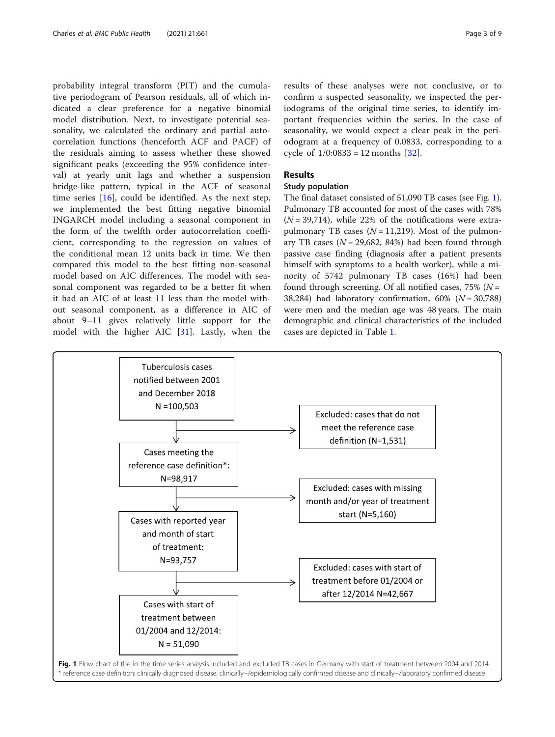probability integral transform (PIT) and the cumulative periodogram of Pearson residuals, all of which indicated a clear preference for a negative binomial model distribution. Next, to investigate potential seasonality, we calculated the ordinary and partial autocorrelation functions (henceforth ACF and PACF) of the residuals aiming to assess whether these showed significant peaks (exceeding the 95% confidence interval) at yearly unit lags and whether a suspension bridge-like pattern, typical in the ACF of seasonal time series [\[16](#page-7-0)], could be identified. As the next step, we implemented the best fitting negative binomial INGARCH model including a seasonal component in the form of the twelfth order autocorrelation coefficient, corresponding to the regression on values of the conditional mean 12 units back in time. We then compared this model to the best fitting non-seasonal model based on AIC differences. The model with seasonal component was regarded to be a better fit when it had an AIC of at least 11 less than the model without seasonal component, as a difference in AIC of about 9–11 gives relatively little support for the model with the higher AIC [\[31](#page-7-0)]. Lastly, when the

results of these analyses were not conclusive, or to confirm a suspected seasonality, we inspected the periodograms of the original time series, to identify important frequencies within the series. In the case of seasonality, we would expect a clear peak in the periodogram at a frequency of 0.0833, corresponding to a cycle of  $1/0:0833 = 12$  months [[32\]](#page-7-0).

## Results

## Study population

The final dataset consisted of 51,090 TB cases (see Fig. 1). Pulmonary TB accounted for most of the cases with 78%  $(N = 39,714)$ , while 22% of the notifications were extrapulmonary TB cases ( $N = 11,219$ ). Most of the pulmonary TB cases ( $N = 29,682, 84\%)$  had been found through passive case finding (diagnosis after a patient presents himself with symptoms to a health worker), while a minority of 5742 pulmonary TB cases (16%) had been found through screening. Of all notified cases,  $75\%$  (N = 38,284) had laboratory confirmation,  $60\%$  ( $N = 30,788$ ) were men and the median age was 48 years. The main demographic and clinical characteristics of the included cases are depicted in Table [1](#page-3-0).

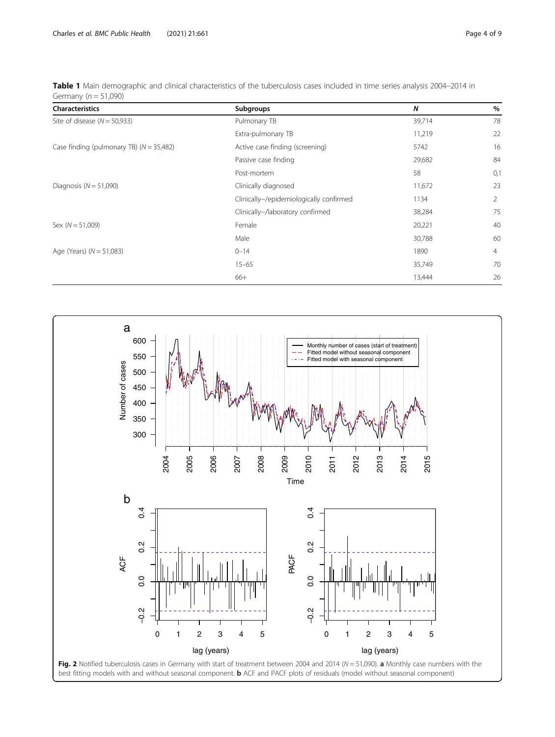| <b>Characteristics</b>                     | Subgroups                               | N      | $\%$           |
|--------------------------------------------|-----------------------------------------|--------|----------------|
| Site of disease $(N = 50,933)$             | Pulmonary TB                            | 39,714 | 78             |
|                                            | Extra-pulmonary TB                      | 11,219 | 22             |
| Case finding (pulmonary TB) $(N = 35,482)$ | Active case finding (screening)         | 5742   | 16             |
|                                            | Passive case finding                    | 29,682 | 84             |
|                                            | Post-mortem                             | 58     | 0,1            |
| Diagnosis ( $N = 51,090$ )                 | Clinically diagnosed                    | 11,672 | 23             |
|                                            | Clinically-/epidemiologically confirmed | 1134   | $\overline{2}$ |
|                                            | Clinically-/laboratory confirmed        | 38,284 | 75             |
| Sex $(N = 51,009)$                         | Female                                  | 20,221 | 40             |
|                                            | Male                                    | 30,788 | 60             |
| Age (Years) $(N = 51,083)$                 | $0 - 14$                                | 1890   | $\overline{4}$ |
|                                            | $15 - 65$                               | 35,749 | 70             |
|                                            | 66+                                     | 13,444 | 26             |

<span id="page-3-0"></span>Table 1 Main demographic and clinical characteristics of the tuberculosis cases included in time series analysis 2004-2014 in Germany ( $n = 51,090$ )

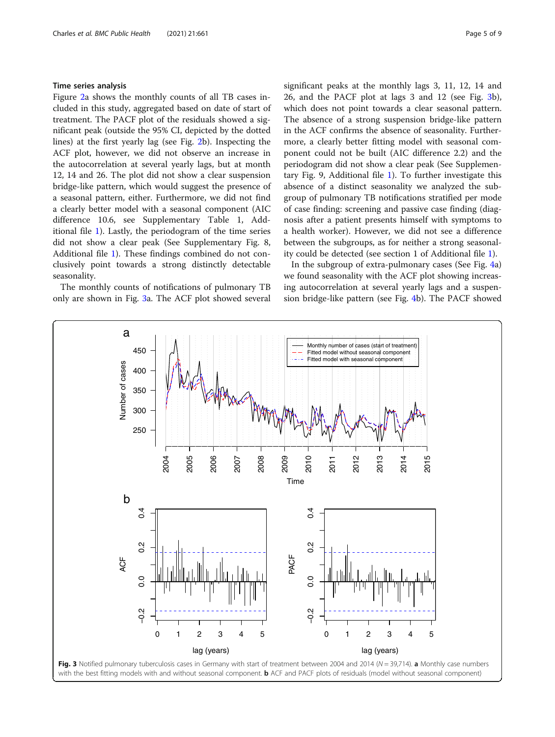## Time series analysis

Figure [2](#page-3-0)a shows the monthly counts of all TB cases included in this study, aggregated based on date of start of treatment. The PACF plot of the residuals showed a significant peak (outside the 95% CI, depicted by the dotted lines) at the first yearly lag (see Fig. [2](#page-3-0)b). Inspecting the ACF plot, however, we did not observe an increase in the autocorrelation at several yearly lags, but at month 12, 14 and 26. The plot did not show a clear suspension bridge-like pattern, which would suggest the presence of a seasonal pattern, either. Furthermore, we did not find a clearly better model with a seasonal component (AIC difference 10.6, see Supplementary Table 1, Additional file [1\)](#page-6-0). Lastly, the periodogram of the time series did not show a clear peak (See Supplementary Fig. 8, Additional file [1](#page-6-0)). These findings combined do not conclusively point towards a strong distinctly detectable seasonality.

The monthly counts of notifications of pulmonary TB only are shown in Fig. 3a. The ACF plot showed several significant peaks at the monthly lags 3, 11, 12, 14 and 26, and the PACF plot at lags 3 and 12 (see Fig. 3b), which does not point towards a clear seasonal pattern. The absence of a strong suspension bridge-like pattern in the ACF confirms the absence of seasonality. Furthermore, a clearly better fitting model with seasonal component could not be built (AIC difference 2.2) and the periodogram did not show a clear peak (See Supplementary Fig. 9, Additional file [1\)](#page-6-0). To further investigate this absence of a distinct seasonality we analyzed the subgroup of pulmonary TB notifications stratified per mode of case finding: screening and passive case finding (diagnosis after a patient presents himself with symptoms to a health worker). However, we did not see a difference between the subgroups, as for neither a strong seasonality could be detected (see section 1 of Additional file [1\)](#page-6-0).

In the subgroup of extra-pulmonary cases (See Fig. [4a](#page-5-0)) we found seasonality with the ACF plot showing increasing autocorrelation at several yearly lags and a suspension bridge-like pattern (see Fig. [4b](#page-5-0)). The PACF showed

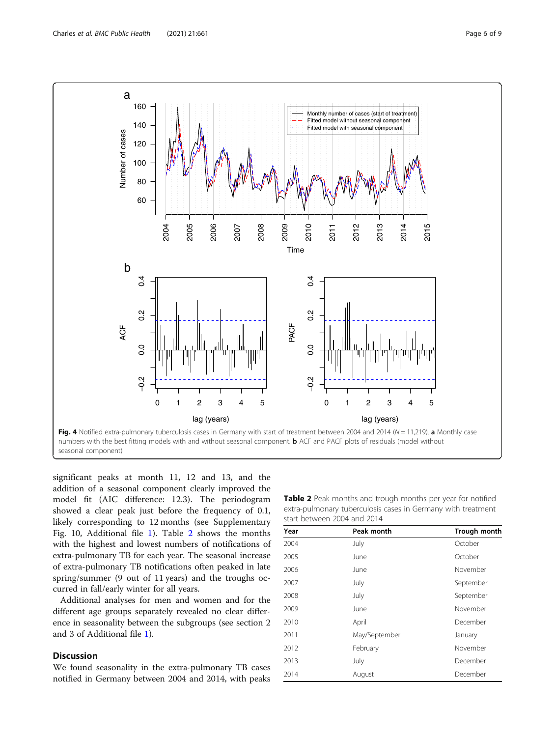<span id="page-5-0"></span>

significant peaks at month 11, 12 and 13, and the addition of a seasonal component clearly improved the model fit (AIC difference: 12.3). The periodogram showed a clear peak just before the frequency of 0.1, likely corresponding to 12 months (see Supplementary Fig. 10, Additional file [1\)](#page-6-0). Table 2 shows the months with the highest and lowest numbers of notifications of extra-pulmonary TB for each year. The seasonal increase of extra-pulmonary TB notifications often peaked in late spring/summer (9 out of 11 years) and the troughs occurred in fall/early winter for all years.

Additional analyses for men and women and for the different age groups separately revealed no clear difference in seasonality between the subgroups (see section 2 and 3 of Additional file [1\)](#page-6-0).

## Discussion

We found seasonality in the extra-pulmonary TB cases notified in Germany between 2004 and 2014, with peaks

Table 2 Peak months and trough months per year for notified extra-pulmonary tuberculosis cases in Germany with treatment start between 2004 and 2014

| Year | Peak month    | <b>Trough month</b> |  |
|------|---------------|---------------------|--|
| 2004 | July          | October             |  |
| 2005 | June          | October             |  |
| 2006 | June          | November            |  |
| 2007 | July          | September           |  |
| 2008 | July          | September           |  |
| 2009 | June          | November            |  |
| 2010 | April         | December            |  |
| 2011 | May/September | January             |  |
| 2012 | February      | November            |  |
| 2013 | July          | December            |  |
| 2014 | August        | December            |  |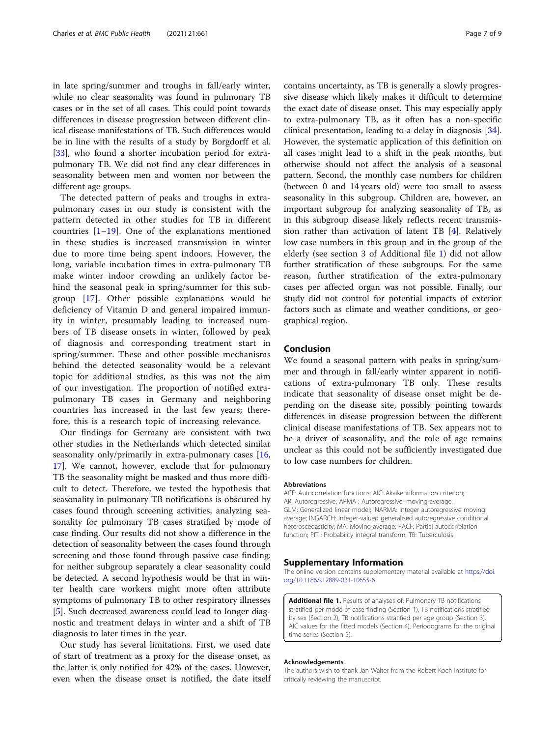<span id="page-6-0"></span>in late spring/summer and troughs in fall/early winter, while no clear seasonality was found in pulmonary TB cases or in the set of all cases. This could point towards differences in disease progression between different clinical disease manifestations of TB. Such differences would be in line with the results of a study by Borgdorff et al. [[33\]](#page-7-0), who found a shorter incubation period for extrapulmonary TB. We did not find any clear differences in seasonality between men and women nor between the different age groups.

The detected pattern of peaks and troughs in extrapulmonary cases in our study is consistent with the pattern detected in other studies for TB in different countries  $[1-19]$  $[1-19]$  $[1-19]$  $[1-19]$ . One of the explanations mentioned in these studies is increased transmission in winter due to more time being spent indoors. However, the long, variable incubation times in extra-pulmonary TB make winter indoor crowding an unlikely factor behind the seasonal peak in spring/summer for this subgroup [[17\]](#page-7-0). Other possible explanations would be deficiency of Vitamin D and general impaired immunity in winter, presumably leading to increased numbers of TB disease onsets in winter, followed by peak of diagnosis and corresponding treatment start in spring/summer. These and other possible mechanisms behind the detected seasonality would be a relevant topic for additional studies, as this was not the aim of our investigation. The proportion of notified extrapulmonary TB cases in Germany and neighboring countries has increased in the last few years; therefore, this is a research topic of increasing relevance.

Our findings for Germany are consistent with two other studies in the Netherlands which detected similar seasonality only/primarily in extra-pulmonary cases [[16](#page-7-0), [17\]](#page-7-0). We cannot, however, exclude that for pulmonary TB the seasonality might be masked and thus more difficult to detect. Therefore, we tested the hypothesis that seasonality in pulmonary TB notifications is obscured by cases found through screening activities, analyzing seasonality for pulmonary TB cases stratified by mode of case finding. Our results did not show a difference in the detection of seasonality between the cases found through screening and those found through passive case finding: for neither subgroup separately a clear seasonality could be detected. A second hypothesis would be that in winter health care workers might more often attribute symptoms of pulmonary TB to other respiratory illnesses [[5\]](#page-7-0). Such decreased awareness could lead to longer diagnostic and treatment delays in winter and a shift of TB diagnosis to later times in the year.

Our study has several limitations. First, we used date of start of treatment as a proxy for the disease onset, as the latter is only notified for 42% of the cases. However, even when the disease onset is notified, the date itself

contains uncertainty, as TB is generally a slowly progressive disease which likely makes it difficult to determine the exact date of disease onset. This may especially apply to extra-pulmonary TB, as it often has a non-specific clinical presentation, leading to a delay in diagnosis [\[34](#page-8-0)]. However, the systematic application of this definition on all cases might lead to a shift in the peak months, but otherwise should not affect the analysis of a seasonal pattern. Second, the monthly case numbers for children (between 0 and 14 years old) were too small to assess seasonality in this subgroup. Children are, however, an important subgroup for analyzing seasonality of TB, as in this subgroup disease likely reflects recent transmission rather than activation of latent TB [[4](#page-7-0)]. Relatively low case numbers in this group and in the group of the elderly (see section 3 of Additional file 1) did not allow further stratification of these subgroups. For the same reason, further stratification of the extra-pulmonary cases per affected organ was not possible. Finally, our study did not control for potential impacts of exterior factors such as climate and weather conditions, or geographical region.

## Conclusion

We found a seasonal pattern with peaks in spring/summer and through in fall/early winter apparent in notifications of extra-pulmonary TB only. These results indicate that seasonality of disease onset might be depending on the disease site, possibly pointing towards differences in disease progression between the different clinical disease manifestations of TB. Sex appears not to be a driver of seasonality, and the role of age remains unclear as this could not be sufficiently investigated due to low case numbers for children.

#### Abbreviations

ACF: Autocorrelation functions; AIC: Akaike information criterion; AR: Autoregressive; ARMA : Autoregressive–moving-average; GLM: Generalized linear model; INARMA: Integer autoregressive moving average; INGARCH: Integer-valued generalised autoregressive conditional heteroscedasticity; MA: Moving-average; PACF: Partial autocorrelation function; PIT : Probability integral transform; TB: Tuberculosis

## Supplementary Information

The online version contains supplementary material available at https://doi. org/10.1186/s12889-021-10655-6.

Additional file 1. Results of analyses of: Pulmonary TB notifications stratified per mode of case finding (Section 1), TB notifications stratified by sex (Section 2), TB notifications stratified per age group (Section 3). AIC values for the fitted models (Section 4). Periodograms for the original time series (Section 5).

#### Acknowledgements

The authors wish to thank Jan Walter from the Robert Koch Institute for critically reviewing the manuscript.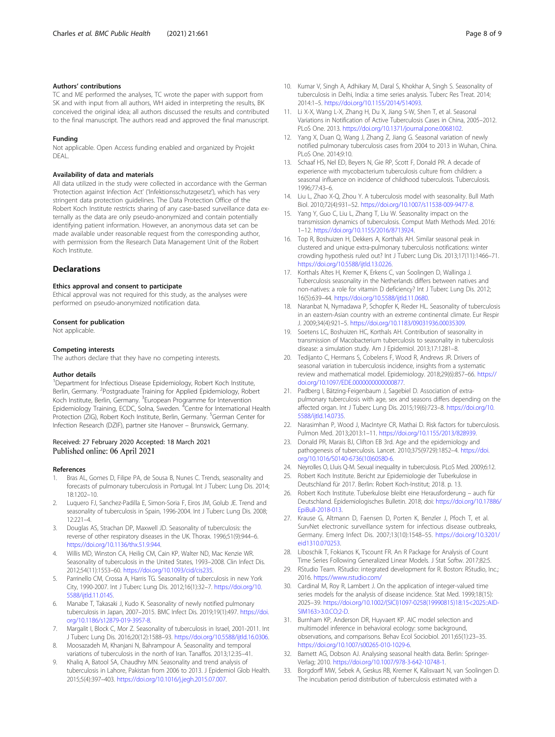#### <span id="page-7-0"></span>Authors' contributions

TC and ME performed the analyses, TC wrote the paper with support from SK and with input from all authors, WH aided in interpreting the results, BK conceived the original idea; all authors discussed the results and contributed to the final manuscript. The authors read and approved the final manuscript.

#### Funding

Not applicable. Open Access funding enabled and organized by Projekt DEAL.

#### Availability of data and materials

All data utilized in the study were collected in accordance with the German 'Protection against Infection Act' ('Infektionsschutzgesetz'), which has very stringent data protection guidelines. The Data Protection Office of the Robert Koch Institute restricts sharing of any case-based surveillance data externally as the data are only pseudo-anonymized and contain potentially identifying patient information. However, an anonymous data set can be made available under reasonable request from the corresponding author, with permission from the Research Data Management Unit of the Robert Koch Institute.

#### **Declarations**

#### Ethics approval and consent to participate

Ethical approval was not required for this study, as the analyses were performed on pseudo-anonymized notification data.

#### Consent for publication

Not applicable.

#### Competing interests

The authors declare that they have no competing interests.

#### Author details

<sup>1</sup>Department for Infectious Disease Epidemiology, Robert Koch Institute, Berlin, Germany. <sup>2</sup>Postgraduate Training for Applied Epidemiology, Robert Koch Institute, Berlin, Germany. <sup>3</sup>European Programme for Intervention Epidemiology Training, ECDC, Solna, Sweden. <sup>4</sup>Centre for International Health Protection (ZIG), Robert Koch Institute, Berlin, Germany. <sup>5</sup>German Center for Infection Research (DZIF), partner site Hanover – Brunswick, Germany.

#### Received: 27 February 2020 Accepted: 18 March 2021 Published online: 06 April 2021

#### References

- 1. Bras AL, Gomes D, Filipe PA, de Sousa B, Nunes C. Trends, seasonality and forecasts of pulmonary tuberculosis in Portugal. Int J Tuberc Lung Dis. 2014; 18:1202–10.
- 2. Luquero FJ, Sanchez-Padilla E, Simon-Soria F, Eiros JM, Golub JE. Trend and seasonality of tuberculosis in Spain, 1996-2004. Int J Tuberc Lung Dis. 2008;  $12:221-4$
- 3. Douglas AS, Strachan DP, Maxwell JD. Seasonality of tuberculosis: the reverse of other respiratory diseases in the UK. Thorax. 1996;51(9):944–6. [https://doi.org/10.1136/thx.51.9.944.](https://doi.org/10.1136/thx.51.9.944)
- 4. Willis MD, Winston CA, Heilig CM, Cain KP, Walter ND, Mac Kenzie WR. Seasonality of tuberculosis in the United States, 1993–2008. Clin Infect Dis. 2012;54(11):1553–60. <https://doi.org/10.1093/cid/cis235>.
- Parrinello CM, Crossa A, Harris TG. Seasonality of tuberculosis in new York City, 1990-2007. Int J Tuberc Lung Dis. 2012;16(1):32–7. [https://doi.org/10.](https://doi.org/10.5588/ijtld.11.0145) [5588/ijtld.11.0145](https://doi.org/10.5588/ijtld.11.0145).
- Manabe T, Takasaki J, Kudo K. Seasonality of newly notified pulmonary tuberculosis in Japan, 2007–2015. BMC Infect Dis. 2019;19(1):497. [https://doi.](https://doi.org/10.1186/s12879-019-3957-8) [org/10.1186/s12879-019-3957-8](https://doi.org/10.1186/s12879-019-3957-8).
- 7. Margalit I, Block C, Mor Z. Seasonality of tuberculosis in Israel, 2001-2011. Int J Tuberc Lung Dis. 2016;20(12):1588–93. [https://doi.org/10.5588/ijtld.16.0306.](https://doi.org/10.5588/ijtld.16.0306)
- 8. Moosazadeh M, Khanjani N, Bahrampour A. Seasonality and temporal variations of tuberculosis in the north of Iran. Tanaffos. 2013;12:35–41.
- 9. Khaliq A, Batool SA, Chaudhry MN. Seasonality and trend analysis of tuberculosis in Lahore, Pakistan from 2006 to 2013. J Epidemiol Glob Health. 2015;5(4):397–403. <https://doi.org/10.1016/j.jegh.2015.07.007>.
- 10. Kumar V, Singh A, Adhikary M, Daral S, Khokhar A, Singh S. Seasonality of tuberculosis in Delhi, India: a time series analysis. Tuberc Res Treat. 2014; 2014:1–5. <https://doi.org/10.1155/2014/514093>.
- 11. Li X-X, Wang L-X, Zhang H, Du X, Jiang S-W, Shen T, et al. Seasonal Variations in Notification of Active Tuberculosis Cases in China, 2005–2012. PLoS One. 2013. [https://doi.org/10.1371/journal.pone.0068102.](https://doi.org/10.1371/journal.pone.0068102)
- 12. Yang X, Duan Q, Wang J, Zhang Z, Jiang G. Seasonal variation of newly notified pulmonary tuberculosis cases from 2004 to 2013 in Wuhan, China. PLoS One. 2014;9:10.
- 13. Schaaf HS, Nel ED, Beyers N, Gie RP, Scott F, Donald PR. A decade of experience with mycobacterium tuberculosis culture from children: a seasonal influence on incidence of childhood tuberculosis. Tuberculosis. 1996;77:43–6.
- 14. Liu L, Zhao X-Q, Zhou Y. A tuberculosis model with seasonality. Bull Math Biol. 2010;72(4):931–52. [https://doi.org/10.1007/s11538-009-9477-8.](https://doi.org/10.1007/s11538-009-9477-8)
- 15. Yang Y, Guo C, Liu L, Zhang T, Liu W. Seasonality impact on the transmission dynamics of tuberculosis. Comput Math Methods Med. 2016: 1–12. <https://doi.org/10.1155/2016/8713924>.
- 16. Top R, Boshuizen H, Dekkers A, Korthals AH. Similar seasonal peak in clustered and unique extra-pulmonary tuberculosis notifications: winter crowding hypothesis ruled out? Int J Tuberc Lung Dis. 2013;17(11):1466–71. <https://doi.org/10.5588/ijtld.13.0226>.
- 17. Korthals Altes H, Kremer K, Erkens C, van Soolingen D, Wallinga J. Tuberculosis seasonality in the Netherlands differs between natives and non-natives: a role for vitamin D deficiency? Int J Tuberc Lung Dis. 2012; 16(5):639–44. <https://doi.org/10.5588/ijtld.11.0680>.
- 18. Naranbat N, Nymadawa P, Schopfer K, Rieder HL. Seasonality of tuberculosis in an eastern-Asian country with an extreme continental climate. Eur Respir J. 2009;34(4):921–5. <https://doi.org/10.1183/09031936.00035309>.
- 19. Soetens LC, Boshuizen HC, Korthals AH. Contribution of seasonality in transmission of Macobacterium tuberculosis to seasonality in tuberculosis disease: a simulation study. Am J Epidemiol. 2013;17:1281–8.
- 20. Tedijanto C, Hermans S, Cobelens F, Wood R, Andrews JR. Drivers of seasonal variation in tuberculosis incidence, insights from a systematic review and mathematical model. Epidemiology. 2018;29(6):857–66. [https://](https://doi.org/10.1097/EDE.0000000000000877) [doi.org/10.1097/EDE.0000000000000877](https://doi.org/10.1097/EDE.0000000000000877).
- 21. Padberg I, Bätzing-Feigenbaum J, Sagebiel D. Association of extrapulmonary tuberculosis with age, sex and seasons differs depending on the affected organ. Int J Tuberc Lung Dis. 2015;19(6):723–8. [https://doi.org/10.](https://doi.org/10.5588/ijtld.14.0735) [5588/ijtld.14.0735](https://doi.org/10.5588/ijtld.14.0735).
- 22. Narasimhan P, Wood J, MacIntyre CR, Mathai D. Risk factors for tuberculosis. Pulmon Med. 2013;2013:1–11. [https://doi.org/10.1155/2013/828939.](https://doi.org/10.1155/2013/828939)
- 23. Donald PR, Marais BJ, Clifton EB 3rd. Age and the epidemiology and pathogenesis of tuberculosis. Lancet. 2010;375(9729):1852–4. [https://doi.](https://doi.org/10.1016/S0140-6736(10)60580-6) [org/10.1016/S0140-6736\(10\)60580-6.](https://doi.org/10.1016/S0140-6736(10)60580-6)
- 24. Neyrolles O, Lluis Q-M. Sexual inequality in tuberculosis. PLoS Med. 2009;6:12.
- 25. Robert Koch Institute. Bericht zur Epidemiologie der Tuberkulose in Deutschland für 2017. Berlin: Robert Koch-Institut; 2018. p. 13.
- 26. Robert Koch Institute. Tuberkulose bleibt eine Herausforderung auch für Deutschland. Epidemiologisches Bulletin. 2018; doi: [https://doi.org/10.17886/](https://doi.org/10.17886/EpiBull-2018-013) [EpiBull-2018-013.](https://doi.org/10.17886/EpiBull-2018-013)
- 27. Krause G, Altmann D, Faensen D, Porten K, Benzler J, Pfoch T, et al. SurvNet electronic surveillance system for infectious disease outbreaks, Germany. Emerg Infect Dis. 2007;13(10):1548–55. [https://doi.org/10.3201/](https://doi.org/10.3201/eid1310.070253) [eid1310.070253](https://doi.org/10.3201/eid1310.070253).
- 28. Liboschik T, Fokianos K, Tscount FR. An R Package for Analysis of Count Time Series Following Generalized Linear Models. J Stat Softw. 2017;82:5.
- 29. RStudio Team. RStudio: integrated development for R. Boston: RStudio, Inc.; 2016. <https://www.rstudio.com/>
- 30. Cardinal M, Roy R, Lambert J. On the application of integer-valued time series models for the analysis of disease incidence. Stat Med. 1999;18(15): 2025–39. [https://doi.org/10.1002/\(SICI\)1097-0258\(19990815\)18:15<2025::AID-](https://doi.org/10.1002/(SICI)1097-0258(19990815)18:15<2025::AID-SIM163>3.0.CO;2-D)[SIM163>3.0.CO;2-D.](https://doi.org/10.1002/(SICI)1097-0258(19990815)18:15<2025::AID-SIM163>3.0.CO;2-D)
- 31. Burnham KP, Anderson DR, Huyvaert KP. AIC model selection and multimodel inference in behavioral ecology: some background, observations, and comparisons. Behav Ecol Sociobiol. 2011;65(1):23–35. <https://doi.org/10.1007/s00265-010-1029-6>.
- 32. Barnett AG, Dobson AJ. Analysing seasonal health data. Berlin: Springer-Verlag; 2010. <https://doi.org/10.1007/978-3-642-10748-1>.
- 33. Borgdorff MW, Sebek A, Geskus RB, Kremer K, Kalisvaart N, van Soolingen D. The incubation period distribution of tuberculosis estimated with a